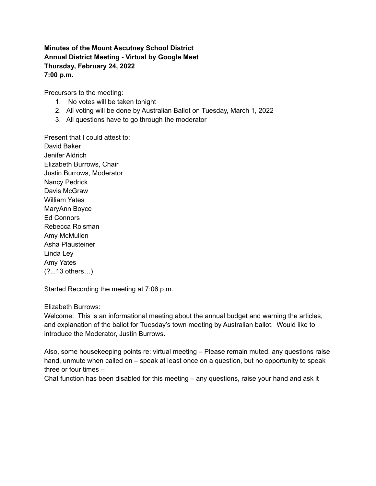# **Minutes of the Mount Ascutney School District Annual District Meeting - Virtual by Google Meet Thursday, February 24, 2022 7:00 p.m.**

Precursors to the meeting:

- 1. No votes will be taken tonight
- 2. All voting will be done by Australian Ballot on Tuesday, March 1, 2022
- 3. All questions have to go through the moderator

Present that I could attest to: David Baker Jenifer Aldrich Elizabeth Burrows, Chair Justin Burrows, Moderator Nancy Pedrick Davis McGraw William Yates MaryAnn Boyce Ed Connors Rebecca Roisman Amy McMullen Asha Plausteiner Linda Ley Amy Yates (?...13 others…)

Started Recording the meeting at 7:06 p.m.

#### Elizabeth Burrows:

Welcome. This is an informational meeting about the annual budget and warning the articles, and explanation of the ballot for Tuesday's town meeting by Australian ballot. Would like to introduce the Moderator, Justin Burrows.

Also, some housekeeping points re: virtual meeting – Please remain muted, any questions raise hand, unmute when called on – speak at least once on a question, but no opportunity to speak three or four times –

Chat function has been disabled for this meeting – any questions, raise your hand and ask it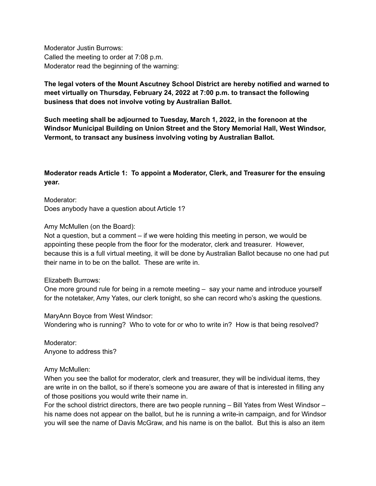Moderator Justin Burrows: Called the meeting to order at 7:08 p.m. Moderator read the beginning of the warning:

# **The legal voters of the Mount Ascutney School District are hereby notified and warned to meet virtually on Thursday, February 24, 2022 at 7:00 p.m. to transact the following business that does not involve voting by Australian Ballot.**

**Such meeting shall be adjourned to Tuesday, March 1, 2022, in the forenoon at the Windsor Municipal Building on Union Street and the Story Memorial Hall, West Windsor, Vermont, to transact any business involving voting by Australian Ballot.**

# **Moderator reads Article 1: To appoint a Moderator, Clerk, and Treasurer for the ensuing year.**

Moderator: Does anybody have a question about Article 1?

Amy McMullen (on the Board):

Not a question, but a comment – if we were holding this meeting in person, we would be appointing these people from the floor for the moderator, clerk and treasurer. However, because this is a full virtual meeting, it will be done by Australian Ballot because no one had put their name in to be on the ballot. These are write in.

## Elizabeth Burrows:

One more ground rule for being in a remote meeting – say your name and introduce yourself for the notetaker, Amy Yates, our clerk tonight, so she can record who's asking the questions.

MaryAnn Boyce from West Windsor: Wondering who is running? Who to vote for or who to write in? How is that being resolved?

Moderator: Anyone to address this?

# Amy McMullen:

When you see the ballot for moderator, clerk and treasurer, they will be individual items, they are write in on the ballot, so if there's someone you are aware of that is interested in filling any of those positions you would write their name in.

For the school district directors, there are two people running – Bill Yates from West Windsor – his name does not appear on the ballot, but he is running a write-in campaign, and for Windsor you will see the name of Davis McGraw, and his name is on the ballot. But this is also an item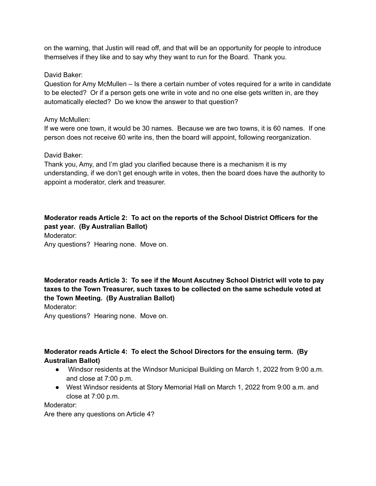on the warning, that Justin will read off, and that will be an opportunity for people to introduce themselves if they like and to say why they want to run for the Board. Thank you.

## David Baker:

Question for Amy McMullen – Is there a certain number of votes required for a write in candidate to be elected? Or if a person gets one write in vote and no one else gets written in, are they automatically elected? Do we know the answer to that question?

## Amy McMullen:

If we were one town, it would be 30 names. Because we are two towns, it is 60 names. If one person does not receive 60 write ins, then the board will appoint, following reorganization.

# David Baker:

Thank you, Amy, and I'm glad you clarified because there is a mechanism it is my understanding, if we don't get enough write in votes, then the board does have the authority to appoint a moderator, clerk and treasurer.

**Moderator reads Article 2: To act on the reports of the School District Officers for the past year. (By Australian Ballot)**

Moderator: Any questions? Hearing none. Move on.

**Moderator reads Article 3: To see if the Mount Ascutney School District will vote to pay taxes to the Town Treasurer, such taxes to be collected on the same schedule voted at the Town Meeting. (By Australian Ballot)**

Moderator:

Any questions? Hearing none. Move on.

# **Moderator reads Article 4: To elect the School Directors for the ensuing term. (By Australian Ballot)**

- Windsor residents at the Windsor Municipal Building on March 1, 2022 from 9:00 a.m. and close at 7:00 p.m.
- West Windsor residents at Story Memorial Hall on March 1, 2022 from 9:00 a.m. and close at 7:00 p.m.

Moderator:

Are there any questions on Article 4?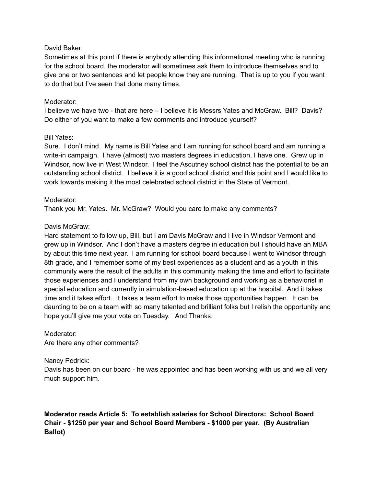## David Baker:

Sometimes at this point if there is anybody attending this informational meeting who is running for the school board, the moderator will sometimes ask them to introduce themselves and to give one or two sentences and let people know they are running. That is up to you if you want to do that but I've seen that done many times.

# Moderator:

I believe we have two - that are here – I believe it is Messrs Yates and McGraw. Bill? Davis? Do either of you want to make a few comments and introduce yourself?

## Bill Yates:

Sure. I don't mind. My name is Bill Yates and I am running for school board and am running a write-in campaign. I have (almost) two masters degrees in education, I have one. Grew up in Windsor, now live in West Windsor. I feel the Ascutney school district has the potential to be an outstanding school district. I believe it is a good school district and this point and I would like to work towards making it the most celebrated school district in the State of Vermont.

# Moderator:

Thank you Mr. Yates. Mr. McGraw? Would you care to make any comments?

# Davis McGraw:

Hard statement to follow up, Bill, but I am Davis McGraw and I live in Windsor Vermont and grew up in Windsor. And I don't have a masters degree in education but I should have an MBA by about this time next year. I am running for school board because I went to Windsor through 8th grade, and I remember some of my best experiences as a student and as a youth in this community were the result of the adults in this community making the time and effort to facilitate those experiences and I understand from my own background and working as a behaviorist in special education and currently in simulation-based education up at the hospital. And it takes time and it takes effort. It takes a team effort to make those opportunities happen. It can be daunting to be on a team with so many talented and brilliant folks but I relish the opportunity and hope you'll give me your vote on Tuesday. And Thanks.

## Moderator:

Are there any other comments?

## Nancy Pedrick:

Davis has been on our board - he was appointed and has been working with us and we all very much support him.

# **Moderator reads Article 5: To establish salaries for School Directors: School Board Chair - \$1250 per year and School Board Members - \$1000 per year. (By Australian Ballot)**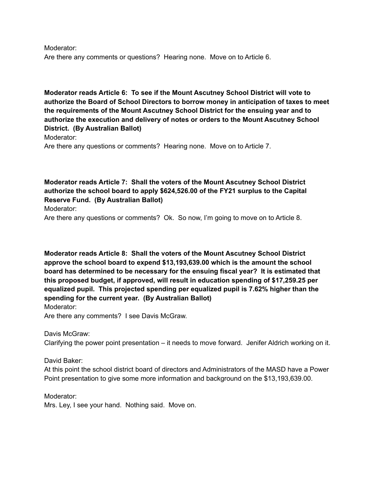Moderator: Are there any comments or questions? Hearing none. Move on to Article 6.

**Moderator reads Article 6: To see if the Mount Ascutney School District will vote to authorize the Board of School Directors to borrow money in anticipation of taxes to meet the requirements of the Mount Ascutney School District for the ensuing year and to authorize the execution and delivery of notes or orders to the Mount Ascutney School District. (By Australian Ballot)**

Moderator:

Are there any questions or comments? Hearing none. Move on to Article 7.

**Moderator reads Article 7: Shall the voters of the Mount Ascutney School District authorize the school board to apply \$624,526.00 of the FY21 surplus to the Capital Reserve Fund. (By Australian Ballot)**

Moderator:

Are there any questions or comments? Ok. So now, I'm going to move on to Article 8.

**Moderator reads Article 8: Shall the voters of the Mount Ascutney School District approve the school board to expend \$13,193,639.00 which is the amount the school board has determined to be necessary for the ensuing fiscal year? It is estimated that this proposed budget, if approved, will result in education spending of \$17,259.25 per equalized pupil. This projected spending per equalized pupil is 7.62% higher than the spending for the current year. (By Australian Ballot)** Moderator:

Are there any comments? I see Davis McGraw.

Davis McGraw:

Clarifying the power point presentation – it needs to move forward. Jenifer Aldrich working on it.

David Baker:

At this point the school district board of directors and Administrators of the MASD have a Power Point presentation to give some more information and background on the \$13,193,639.00.

Moderator: Mrs. Ley, I see your hand. Nothing said. Move on.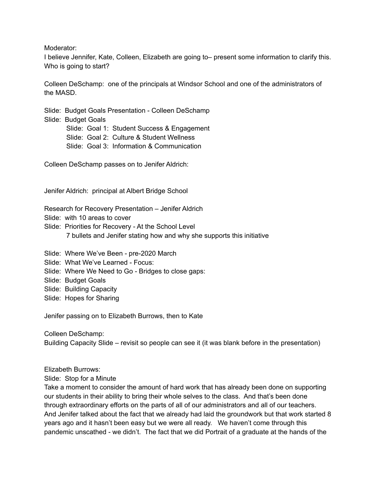Moderator:

I believe Jennifer, Kate, Colleen, Elizabeth are going to– present some information to clarify this. Who is going to start?

Colleen DeSchamp: one of the principals at Windsor School and one of the administrators of the MASD.

Slide: Budget Goals Presentation - Colleen DeSchamp Slide: Budget Goals Slide: Goal 1: Student Success & Engagement

Slide: Goal 2: Culture & Student Wellness Slide: Goal 3: Information & Communication

Colleen DeSchamp passes on to Jenifer Aldrich:

Jenifer Aldrich: principal at Albert Bridge School

Research for Recovery Presentation – Jenifer Aldrich

Slide: with 10 areas to cover

Slide: Priorities for Recovery - At the School Level 7 bullets and Jenifer stating how and why she supports this initiative

Slide: Where We've Been - pre-2020 March

Slide: What We've Learned - Focus:

Slide: Where We Need to Go - Bridges to close gaps:

Slide: Budget Goals

Slide: Building Capacity

Slide: Hopes for Sharing

Jenifer passing on to Elizabeth Burrows, then to Kate

Colleen DeSchamp: Building Capacity Slide – revisit so people can see it (it was blank before in the presentation)

Elizabeth Burrows:

Slide: Stop for a Minute

Take a moment to consider the amount of hard work that has already been done on supporting our students in their ability to bring their whole selves to the class. And that's been done through extraordinary efforts on the parts of all of our administrators and all of our teachers. And Jenifer talked about the fact that we already had laid the groundwork but that work started 8 years ago and it hasn't been easy but we were all ready. We haven't come through this pandemic unscathed - we didn't. The fact that we did Portrait of a graduate at the hands of the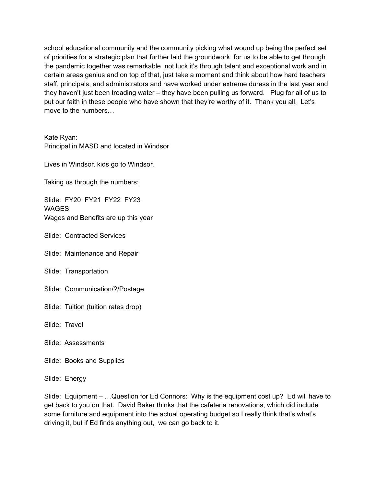school educational community and the community picking what wound up being the perfect set of priorities for a strategic plan that further laid the groundwork for us to be able to get through the pandemic together was remarkable not luck it's through talent and exceptional work and in certain areas genius and on top of that, just take a moment and think about how hard teachers staff, principals, and administrators and have worked under extreme duress in the last year and they haven't just been treading water – they have been pulling us forward. Plug for all of us to put our faith in these people who have shown that they're worthy of it. Thank you all. Let's move to the numbers…

Kate Ryan: Principal in MASD and located in Windsor

Lives in Windsor, kids go to Windsor.

Taking us through the numbers:

Slide: FY20 FY21 FY22 FY23 **WAGES** Wages and Benefits are up this year

Slide: Contracted Services

Slide: Maintenance and Repair

Slide: Transportation

Slide: Communication/?/Postage

Slide: Tuition (tuition rates drop)

Slide: Travel

Slide: Assessments

Slide: Books and Supplies

Slide: Energy

Slide: Equipment – …Question for Ed Connors: Why is the equipment cost up? Ed will have to get back to you on that. David Baker thinks that the cafeteria renovations, which did include some furniture and equipment into the actual operating budget so I really think that's what's driving it, but if Ed finds anything out, we can go back to it.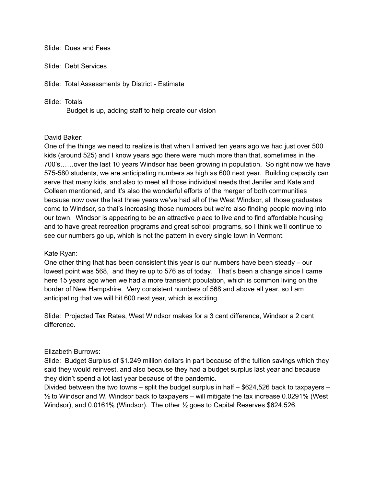#### Slide: Dues and Fees

Slide: Debt Services

Slide: Total Assessments by District - Estimate

#### Slide: Totals

Budget is up, adding staff to help create our vision

#### David Baker:

One of the things we need to realize is that when I arrived ten years ago we had just over 500 kids (around 525) and I know years ago there were much more than that, sometimes in the 700's……over the last 10 years Windsor has been growing in population. So right now we have 575-580 students, we are anticipating numbers as high as 600 next year. Building capacity can serve that many kids, and also to meet all those individual needs that Jenifer and Kate and Colleen mentioned, and it's also the wonderful efforts of the merger of both communities because now over the last three years we've had all of the West Windsor, all those graduates come to Windsor, so that's increasing those numbers but we're also finding people moving into our town. Windsor is appearing to be an attractive place to live and to find affordable housing and to have great recreation programs and great school programs, so I think we'll continue to see our numbers go up, which is not the pattern in every single town in Vermont.

#### Kate Ryan:

One other thing that has been consistent this year is our numbers have been steady – our lowest point was 568, and they're up to 576 as of today. That's been a change since I came here 15 years ago when we had a more transient population, which is common living on the border of New Hampshire. Very consistent numbers of 568 and above all year, so I am anticipating that we will hit 600 next year, which is exciting.

Slide: Projected Tax Rates, West Windsor makes for a 3 cent difference, Windsor a 2 cent difference.

## Elizabeth Burrows:

Slide: Budget Surplus of \$1.249 million dollars in part because of the tuition savings which they said they would reinvest, and also because they had a budget surplus last year and because they didn't spend a lot last year because of the pandemic.

Divided between the two towns – split the budget surplus in half – \$624,526 back to taxpayers –  $\frac{1}{2}$  to Windsor and W. Windsor back to taxpayers – will mitigate the tax increase 0.0291% (West Windsor), and 0.0161% (Windsor). The other ½ goes to Capital Reserves \$624,526.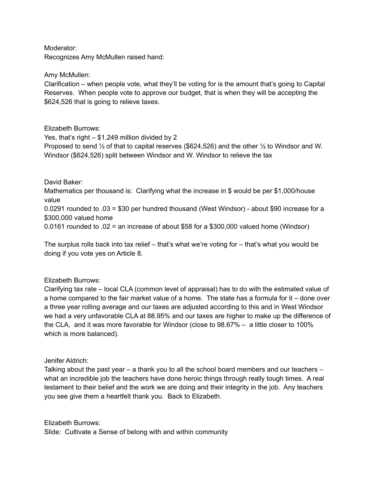Moderator: Recognizes Amy McMullen raised hand:

Amy McMullen:

Clarification – when people vote, what they'll be voting for is the amount that's going to Capital Reserves. When people vote to approve our budget, that is when they will be accepting the \$624,526 that is going to relieve taxes.

## Elizabeth Burrows:

Yes, that's right – \$1.249 million divided by 2 Proposed to send ½ of that to capital reserves (\$624,526) and the other ½ to Windsor and W. Windsor (\$624,526) split between Windsor and W. Windsor to relieve the tax

David Baker:

Mathematics per thousand is: Clarifying what the increase in \$ would be per \$1,000/house value

0.0291 rounded to .03 = \$30 per hundred thousand (West Windsor) - about \$90 increase for a \$300,000 valued home

0.0161 rounded to .02 = an increase of about \$58 for a \$300,000 valued home (Windsor)

The surplus rolls back into tax relief – that's what we're voting for – that's what you would be doing if you vote yes on Article 8.

## Elizabeth Burrows:

Clarifying tax rate – local CLA (common level of appraisal) has to do with the estimated value of a home compared to the fair market value of a home. The state has a formula for it – done over a three year rolling average and our taxes are adjusted according to this and in West Windsor we had a very unfavorable CLA at 88.95% and our taxes are higher to make up the difference of the CLA, and it was more favorable for Windsor (close to 98.67% – a little closer to 100% which is more balanced).

## Jenifer Aldrich:

Talking about the past year – a thank you to all the school board members and our teachers – what an incredible job the teachers have done heroic things through really tough times. A real testament to their belief and the work we are doing and their integrity in the job. Any teachers you see give them a heartfelt thank you. Back to Elizabeth.

Elizabeth Burrows:

Slide: Cultivate a Sense of belong with and within community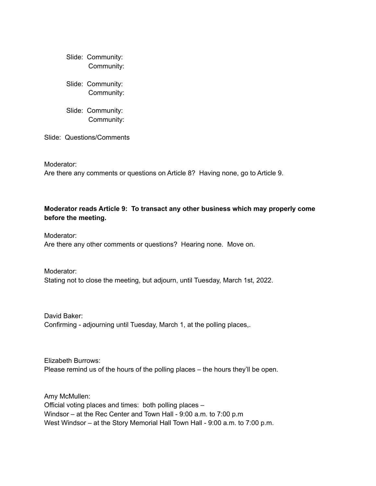Slide: Community: Community:

Slide: Community: Community:

Slide: Community: Community:

Slide: Questions/Comments

Moderator:

Are there any comments or questions on Article 8? Having none, go to Article 9.

# **Moderator reads Article 9: To transact any other business which may properly come before the meeting.**

Moderator: Are there any other comments or questions? Hearing none. Move on.

Moderator: Stating not to close the meeting, but adjourn, until Tuesday, March 1st, 2022.

David Baker: Confirming - adjourning until Tuesday, March 1, at the polling places,.

Elizabeth Burrows: Please remind us of the hours of the polling places – the hours they'll be open.

Amy McMullen: Official voting places and times: both polling places – Windsor – at the Rec Center and Town Hall - 9:00 a.m. to 7:00 p.m West Windsor – at the Story Memorial Hall Town Hall - 9:00 a.m. to 7:00 p.m.